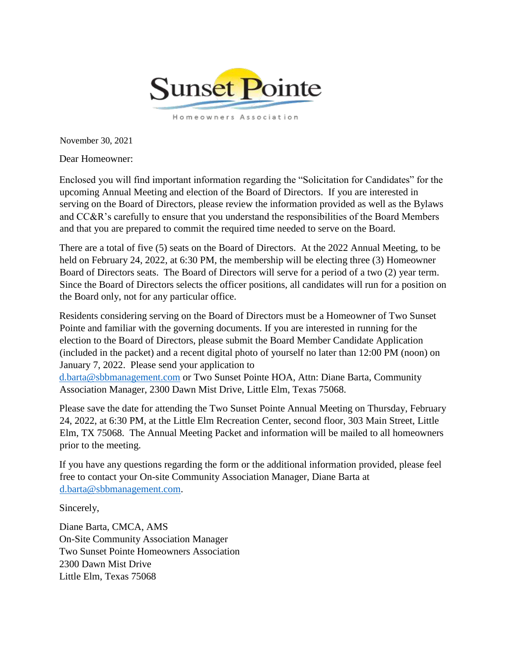

November 30, 2021

Dear Homeowner:

Enclosed you will find important information regarding the "Solicitation for Candidates" for the upcoming Annual Meeting and election of the Board of Directors. If you are interested in serving on the Board of Directors, please review the information provided as well as the Bylaws and CC&R's carefully to ensure that you understand the responsibilities of the Board Members and that you are prepared to commit the required time needed to serve on the Board.

There are a total of five (5) seats on the Board of Directors. At the 2022 Annual Meeting, to be held on February 24, 2022, at 6:30 PM, the membership will be electing three (3) Homeowner Board of Directors seats. The Board of Directors will serve for a period of a two (2) year term. Since the Board of Directors selects the officer positions, all candidates will run for a position on the Board only, not for any particular office.

Residents considering serving on the Board of Directors must be a Homeowner of Two Sunset Pointe and familiar with the governing documents. If you are interested in running for the election to the Board of Directors, please submit the Board Member Candidate Application (included in the packet) and a recent digital photo of yourself no later than 12:00 PM (noon) on January 7, 2022. Please send your application to

d.barta@sbbmanagement.com or Two Sunset Pointe HOA, Attn: Diane Barta, Community Association Manager, 2300 Dawn Mist Drive, Little Elm, Texas 75068.

Please save the date for attending the Two Sunset Pointe Annual Meeting on Thursday, February 24, 2022, at 6:30 PM, at the Little Elm Recreation Center, second floor, 303 Main Street, Little Elm, TX 75068. The Annual Meeting Packet and information will be mailed to all homeowners prior to the meeting.

If you have any questions regarding the form or the additional information provided, please feel free to contact your On-site Community Association Manager, Diane Barta at d.barta@sbbmanagement.com.

Sincerely,

Diane Barta, CMCA, AMS On-Site Community Association Manager Two Sunset Pointe Homeowners Association 2300 Dawn Mist Drive Little Elm, Texas 75068